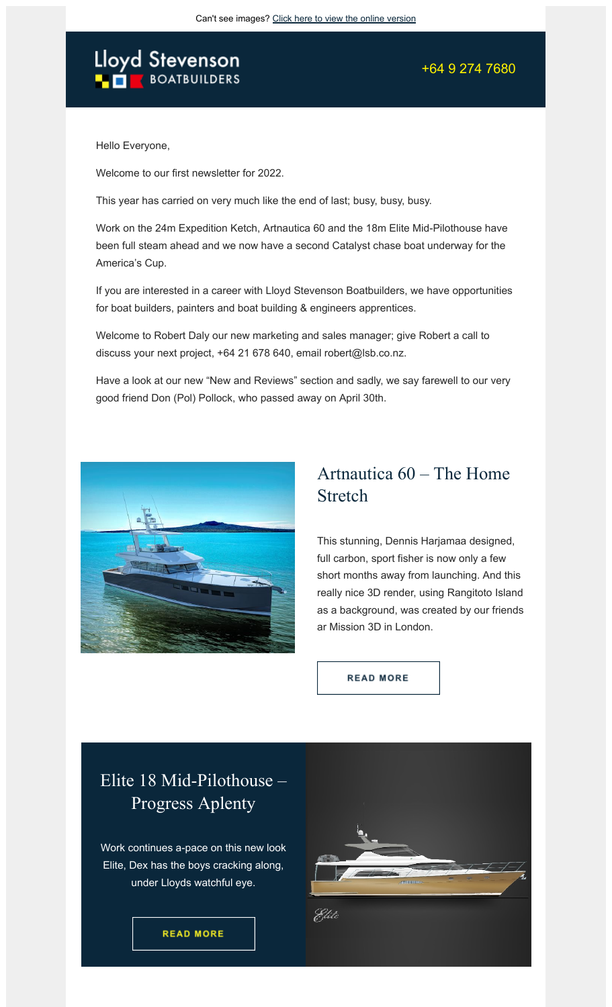# Lloyd Stevenson

+64 9 274 7680

Hello Everyone,

Welcome to our first newsletter for 2022.

This year has carried on very much like the end of last; busy, busy, busy.

Work on the 24m Expedition Ketch, Artnautica 60 and the 18m Elite Mid-Pilothouse have been full steam ahead and we now have a second Catalyst chase boat underway for the America's Cup.

If you are interested in a career with Lloyd Stevenson Boatbuilders, we have opportunities for boat builders, painters and boat building & engineers apprentices.

Welcome to Robert Daly our new marketing and sales manager; give Robert a call to discuss your next project, +64 21 678 640, email robert@lsb.co.nz.

Have a look at our new "New and Reviews" section and sadly, we say farewell to our very good friend Don (Pol) Pollock, who passed away on April 30th.



### Artnautica 60 – The Home Stretch

This stunning, Dennis Harjamaa designed, full carbon, sport fisher is now only a few short months away from launching. And this really nice 3D render, using Rangitoto Island as a background, was created by our friends ar Mission 3D in London.

**READ MORE** 

### Elite 18 Mid-Pilothouse – Progress Aplenty

Work continues a-pace on this new look Elite, Dex has the boys cracking along, under Lloyds watchful eye.

**READ MORE** 

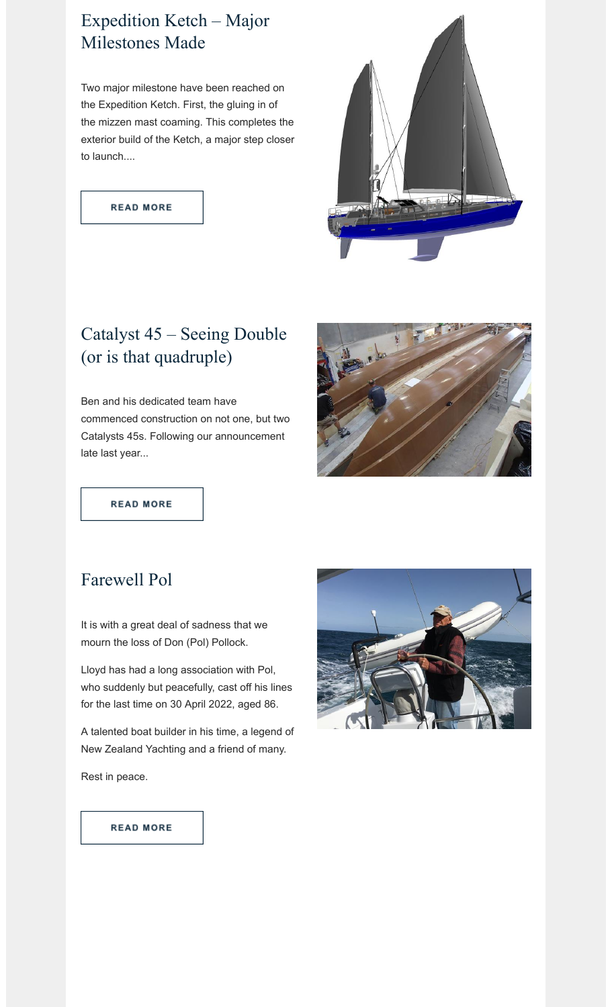## Expedition Ketch – Major Milestones Made

Two major milestone have been reached on the Expedition Ketch. First, the gluing in of the mizzen mast coaming. This completes the exterior build of the Ketch, a major step closer to launch....

**READ MORE** 



# Catalyst 45 – Seeing Double (or is that quadruple)

Ben and his dedicated team have commenced construction on not one, but two Catalysts 45s. Following our announcement late last year...



**READ MORE** 

### Farewell Pol

It is with a great deal of sadness that we mourn the loss of Don (Pol) Pollock.

Lloyd has had a long association with Pol, who suddenly but peacefully, cast off his lines for the last time on 30 April 2022, aged 86.

A talented boat builder in his time, a legend of New Zealand Yachting and a friend of many.

Rest in peace.



#### **READ MORE**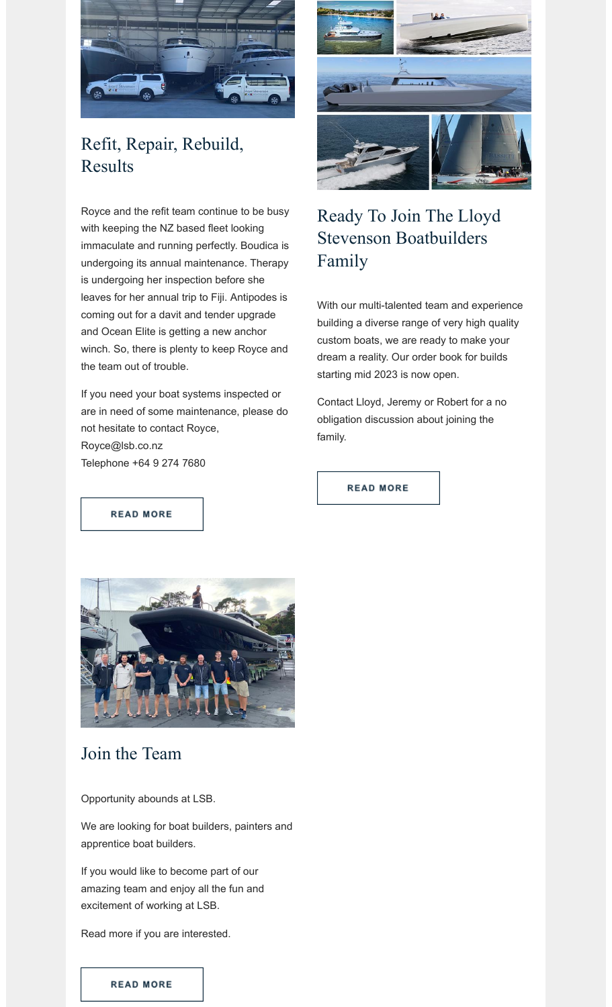

# Refit, Repair, Rebuild, Results

Royce and the refit team continue to be busy with keeping the NZ based fleet looking immaculate and running perfectly. Boudica is undergoing its annual maintenance. Therapy is undergoing her inspection before she leaves for her annual trip to Fiji. Antipodes is coming out for a davit and tender upgrade and Ocean Elite is getting a new anchor winch. So, there is plenty to keep Royce and the team out of trouble.

If you need your boat systems inspected or are in need of some maintenance, please do not hesitate to contact Royce, Royce@lsb.co.nz Telephone +64 9 274 7680



# Ready To Join The Lloyd Stevenson Boatbuilders Family

With our multi-talented team and experience building a diverse range of very high quality custom boats, we are ready to make your dream a reality. Our order book for builds starting mid 2023 is now open.

Contact Lloyd, Jeremy or Robert for a no obligation discussion about joining the family.

**READ MORE** 

**READ MORE** 



### Join the Team

Opportunity abounds at LSB.

We are looking for boat builders, painters and apprentice boat builders.

If you would like to become part of our amazing team and enjoy all the fun and excitement of working at LSB.

Read more if you are interested.

#### **READ MORE**